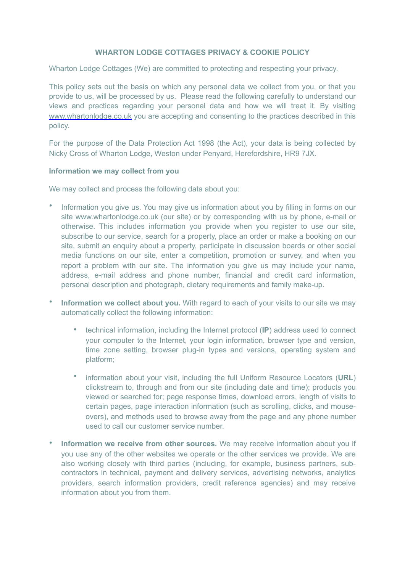## **WHARTON LODGE COTTAGES PRIVACY & COOKIE POLICY**

Wharton Lodge Cottages (We) are committed to protecting and respecting your privacy.

This policy sets out the basis on which any personal data we collect from you, or that you provide to us, will be processed by us. Please read the following carefully to understand our views and practices regarding your personal data and how we will treat it. By visiting [www.whartonlodge.co.uk](http://www.whartonlodge.co.uk) you are accepting and consenting to the practices described in this policy.

For the purpose of the Data Protection Act 1998 (the Act), your data is being collected by Nicky Cross of Wharton Lodge, Weston under Penyard, Herefordshire, HR9 7JX.

#### **Information we may collect from you**

We may collect and process the following data about you:

- Information you give us. You may give us information about you by filling in forms on our site [www.whartonlodge.co.uk](http://www.whartonlodge.co.uk) (our site) or by corresponding with us by phone, e-mail or otherwise. This includes information you provide when you register to use our site, subscribe to our service, search for a property, place an order or make a booking on our site, submit an enquiry about a property, participate in discussion boards or other social media functions on our site, enter a competition, promotion or survey, and when you report a problem with our site. The information you give us may include your name, address, e-mail address and phone number, financial and credit card information, personal description and photograph, dietary requirements and family make-up.
- **Information we collect about you.** With regard to each of your visits to our site we may automatically collect the following information:
	- technical information, including the Internet protocol (**IP**) address used to connect your computer to the Internet, your login information, browser type and version, time zone setting, browser plug-in types and versions, operating system and platform;
	- information about your visit, including the full Uniform Resource Locators (**URL**) clickstream to, through and from our site (including date and time); products you viewed or searched for; page response times, download errors, length of visits to certain pages, page interaction information (such as scrolling, clicks, and mouseovers), and methods used to browse away from the page and any phone number used to call our customer service number.
- **Information we receive from other sources.** We may receive information about you if you use any of the other websites we operate or the other services we provide. We are also working closely with third parties (including, for example, business partners, subcontractors in technical, payment and delivery services, advertising networks, analytics providers, search information providers, credit reference agencies) and may receive information about you from them.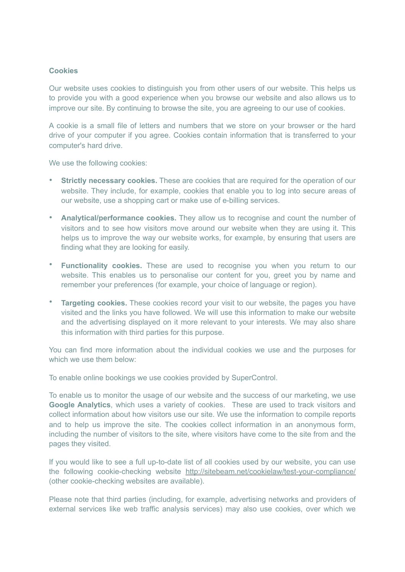## **Cookies**

Our website uses cookies to distinguish you from other users of our website. This helps us to provide you with a good experience when you browse our website and also allows us to improve our site. By continuing to browse the site, you are agreeing to our use of cookies.

A cookie is a small file of letters and numbers that we store on your browser or the hard drive of your computer if you agree. Cookies contain information that is transferred to your computer's hard drive.

We use the following cookies:

- **Strictly necessary cookies.** These are cookies that are required for the operation of our website. They include, for example, cookies that enable you to log into secure areas of our website, use a shopping cart or make use of e-billing services.
- **Analytical/performance cookies.** They allow us to recognise and count the number of visitors and to see how visitors move around our website when they are using it. This helps us to improve the way our website works, for example, by ensuring that users are finding what they are looking for easily.
- **Functionality cookies.** These are used to recognise you when you return to our website. This enables us to personalise our content for you, greet you by name and remember your preferences (for example, your choice of language or region).
- **Targeting cookies.** These cookies record your visit to our website, the pages you have visited and the links you have followed. We will use this information to make our website and the advertising displayed on it more relevant to your interests. We may also share this information with third parties for this purpose.

You can find more information about the individual cookies we use and the purposes for which we use them below:

To enable online bookings we use cookies provided by SuperControl.

To enable us to monitor the usage of our website and the success of our marketing, we use **Google Analytics**, which uses a variety of cookies. These are used to track visitors and collect information about how visitors use our site. We use the information to compile reports and to help us improve the site. The cookies collect information in an anonymous form, including the number of visitors to the site, where visitors have come to the site from and the pages they visited.

If you would like to see a full up-to-date list of all cookies used by our website, you can use the following cookie-checking website <http://sitebeam.net/cookielaw/test-your-compliance/> (other cookie-checking websites are available).

Please note that third parties (including, for example, advertising networks and providers of external services like web traffic analysis services) may also use cookies, over which we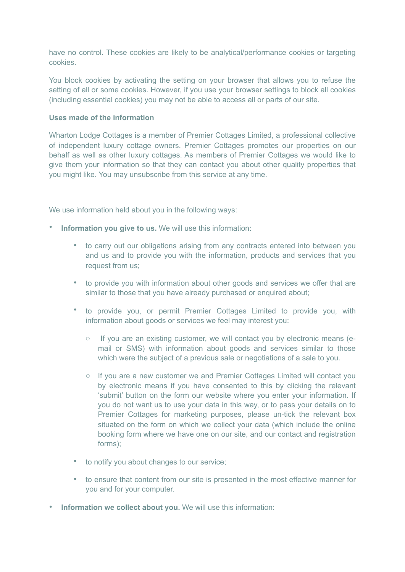have no control. These cookies are likely to be analytical/performance cookies or targeting cookies.

You block cookies by activating the setting on your browser that allows you to refuse the setting of all or some cookies. However, if you use your browser settings to block all cookies (including essential cookies) you may not be able to access all or parts of our site.

## **Uses made of the information**

Wharton Lodge Cottages is a member of Premier Cottages Limited, a professional collective of independent luxury cottage owners. Premier Cottages promotes our properties on our behalf as well as other luxury cottages. As members of Premier Cottages we would like to give them your information so that they can contact you about other quality properties that you might like. You may unsubscribe from this service at any time.

We use information held about you in the following ways:

- **Information you give to us.** We will use this information:
	- to carry out our obligations arising from any contracts entered into between you and us and to provide you with the information, products and services that you request from us;
	- to provide you with information about other goods and services we offer that are similar to those that you have already purchased or enquired about;
	- to provide you, or permit Premier Cottages Limited to provide you, with information about goods or services we feel may interest you:
		- o If you are an existing customer, we will contact you by electronic means (email or SMS) with information about goods and services similar to those which were the subject of a previous sale or negotiations of a sale to you.
		- o If you are a new customer we and Premier Cottages Limited will contact you by electronic means if you have consented to this by clicking the relevant 'submit' button on the form our website where you enter your information. If you do not want us to use your data in this way, or to pass your details on to Premier Cottages for marketing purposes, please un-tick the relevant box situated on the form on which we collect your data (which include the online booking form where we have one on our site, and our contact and registration forms);
	- to notify you about changes to our service;
	- to ensure that content from our site is presented in the most effective manner for you and for your computer.
- **Information we collect about you.** We will use this information: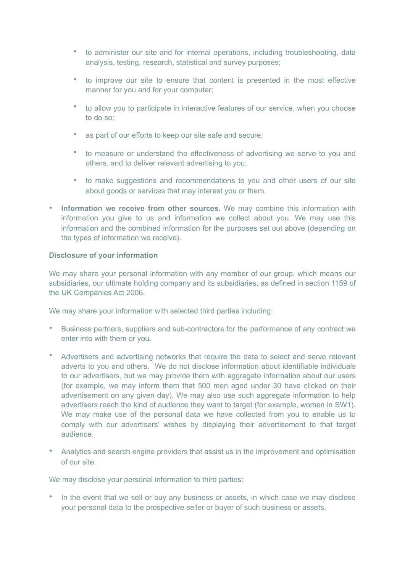- to administer our site and for internal operations, including troubleshooting, data analysis, testing, research, statistical and survey purposes;
- to improve our site to ensure that content is presented in the most effective manner for you and for your computer;
- to allow you to participate in interactive features of our service, when you choose to do so;
- as part of our efforts to keep our site safe and secure;
- to measure or understand the effectiveness of advertising we serve to you and others, and to deliver relevant advertising to you;
- to make suggestions and recommendations to you and other users of our site about goods or services that may interest you or them.
- **Information we receive from other sources.** We may combine this information with information you give to us and information we collect about you. We may use this information and the combined information for the purposes set out above (depending on the types of information we receive).

### **Disclosure of your information**

We may share your personal information with any member of our group, which means our subsidiaries, our ultimate holding company and its subsidiaries, as defined in section 1159 of the UK Companies Act 2006.

We may share your information with selected third parties including:

- Business partners, suppliers and sub-contractors for the performance of any contract we enter into with them or you.
- Advertisers and advertising networks that require the data to select and serve relevant adverts to you and others. We do not disclose information about identifiable individuals to our advertisers, but we may provide them with aggregate information about our users (for example, we may inform them that 500 men aged under 30 have clicked on their advertisement on any given day). We may also use such aggregate information to help advertisers reach the kind of audience they want to target (for example, women in SW1). We may make use of the personal data we have collected from you to enable us to comply with our advertisers' wishes by displaying their advertisement to that target audience.
- Analytics and search engine providers that assist us in the improvement and optimisation of our site.

We may disclose your personal information to third parties:

• In the event that we sell or buy any business or assets, in which case we may disclose your personal data to the prospective seller or buyer of such business or assets.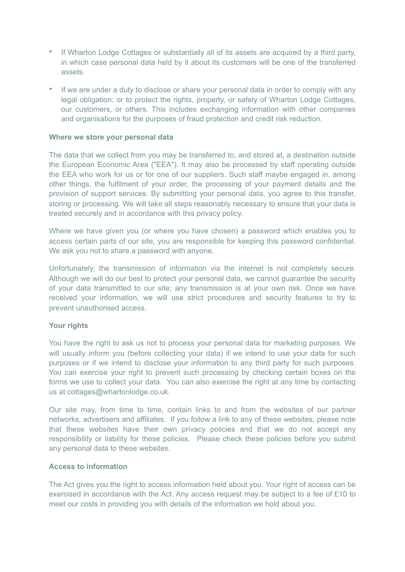- If Wharton Lodge Cottages or substantially all of its assets are acquired by a third party, in which case personal data held by it about its customers will be one of the transferred assets.
- If we are under a duty to disclose or share your personal data in order to comply with any legal obligation; or to protect the rights, property, or safety of Wharton Lodge Cottages, our customers, or others. This includes exchanging information with other companies and organisations for the purposes of fraud protection and credit risk reduction.

### **Where we store your personal data**

The data that we collect from you may be transferred to, and stored at, a destination outside the European Economic Area ("EEA"). It may also be processed by staff operating outside the EEA who work for us or for one of our suppliers. Such staff maybe engaged in, among other things, the fulfilment of your order, the processing of your payment details and the provision of support services. By submitting your personal data, you agree to this transfer, storing or processing. We will take all steps reasonably necessary to ensure that your data is treated securely and in accordance with this privacy policy.

Where we have given you (or where you have chosen) a password which enables you to access certain parts of our site, you are responsible for keeping this password confidential. We ask you not to share a password with anyone.

Unfortunately, the transmission of information via the internet is not completely secure. Although we will do our best to protect your personal data, we cannot guarantee the security of your data transmitted to our site; any transmission is at your own risk. Once we have received your information, we will use strict procedures and security features to try to prevent unauthorised access.

#### **Your rights**

You have the right to ask us not to process your personal data for marketing purposes. We will usually inform you (before collecting your data) if we intend to use your data for such purposes or if we intend to disclose your information to any third party for such purposes. You can exercise your right to prevent such processing by checking certain boxes on the forms we use to collect your data. You can also exercise the right at any time by contacting us at cottages@whartonlodge.co.uk.

Our site may, from time to time, contain links to and from the websites of our partner networks, advertisers and affiliates. If you follow a link to any of these websites, please note that these websites have their own privacy policies and that we do not accept any responsibility or liability for these policies. Please check these policies before you submit any personal data to these websites.

#### **Access to information**

The Act gives you the right to access information held about you. Your right of access can be exercised in accordance with the Act. Any access request may be subject to a fee of £10 to meet our costs in providing you with details of the information we hold about you.